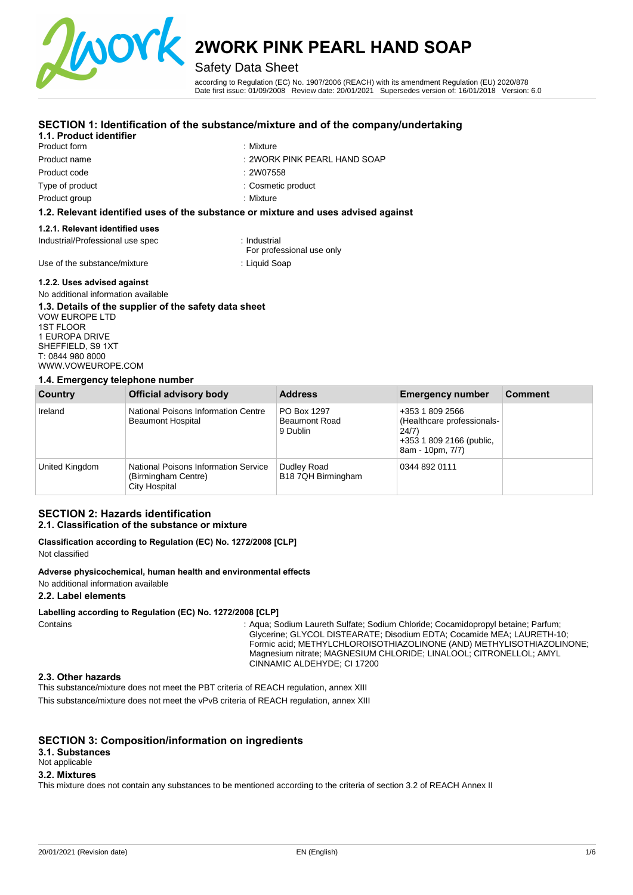

### Safety Data Sheet

according to Regulation (EC) No. 1907/2006 (REACH) with its amendment Regulation (EU) 2020/878 Date first issue: 01/09/2008 Review date: 20/01/2021 Supersedes version of: 16/01/2018 Version: 6.0

#### **SECTION 1: Identification of the substance/mixture and of the company/undertaking**

#### **1.1. Product identifier**

Product form Product name Product code Type of product

### : Mixture

- : 2WORK PINK PEARL HAND SOAP
- : 2W07558

: Mixture

: Cosmetic product

Product group

#### **1.2. Relevant identified uses of the substance or mixture and uses advised against**

#### **1.2.1. Relevant identified uses**

Industrial/Professional use spec : Industrial

For professional use only

Use of the substance/mixture : Liquid Soap

#### **1.2.2. Uses advised against**

#### No additional information available **1.3. Details of the supplier of the safety data sheet**

VOW EUROPE LTD 1ST FLOOR 1 EUROPA DRIVE SHEFFIELD, S9 1XT T: 0844 980 8000 [WWW.VOWEUROPE.COM](mailto:info@cloverchemicals.com)

#### **1.4. Emergency telephone number**

| Country        | Official advisory body                                                       | <b>Address</b>                                  | <b>Emergency number</b>                                                                                | <b>Comment</b> |
|----------------|------------------------------------------------------------------------------|-------------------------------------------------|--------------------------------------------------------------------------------------------------------|----------------|
| Ireland        | National Poisons Information Centre<br><b>Beaumont Hospital</b>              | PO Box 1297<br><b>Beaumont Road</b><br>9 Dublin | +353 1 809 2566<br>(Healthcare professionals-<br>24/7)<br>+353 1 809 2166 (public,<br>8am - 10pm, 7/7) |                |
| United Kingdom | National Poisons Information Service<br>(Birmingham Centre)<br>City Hospital | Dudley Road<br>B18 7QH Birmingham               | 0344 892 0111                                                                                          |                |

### **SECTION 2: Hazards identification**

### **2.1. Classification of the substance or mixture**

**Classification according to Regulation (EC) No. 1272/2008 [CLP]**  Not classified

#### **Adverse physicochemical, human health and environmental effects**

No additional information available

#### **2.2. Label elements**

#### **Labelling according to Regulation (EC) No. 1272/2008 [CLP]**

Contains : Aqua; Sodium Laureth Sulfate; Sodium Chloride; Cocamidopropyl betaine; Parfum; Glycerine; GLYCOL DISTEARATE; Disodium EDTA; Cocamide MEA; LAURETH-10; Formic acid; METHYLCHLOROISOTHIAZOLINONE (AND) METHYLISOTHIAZOLINONE; Magnesium nitrate; MAGNESIUM CHLORIDE; LINALOOL; CITRONELLOL; AMYL CINNAMIC ALDEHYDE; CI 17200

#### **2.3. Other hazards**

This substance/mixture does not meet the PBT criteria of REACH regulation, annex XIII This substance/mixture does not meet the vPvB criteria of REACH regulation, annex XIII

#### **SECTION 3: Composition/information on ingredients**

#### **3.1. Substances**

#### Not applicable

### **3.2. Mixtures**

This mixture does not contain any substances to be mentioned according to the criteria of section 3.2 of REACH Annex II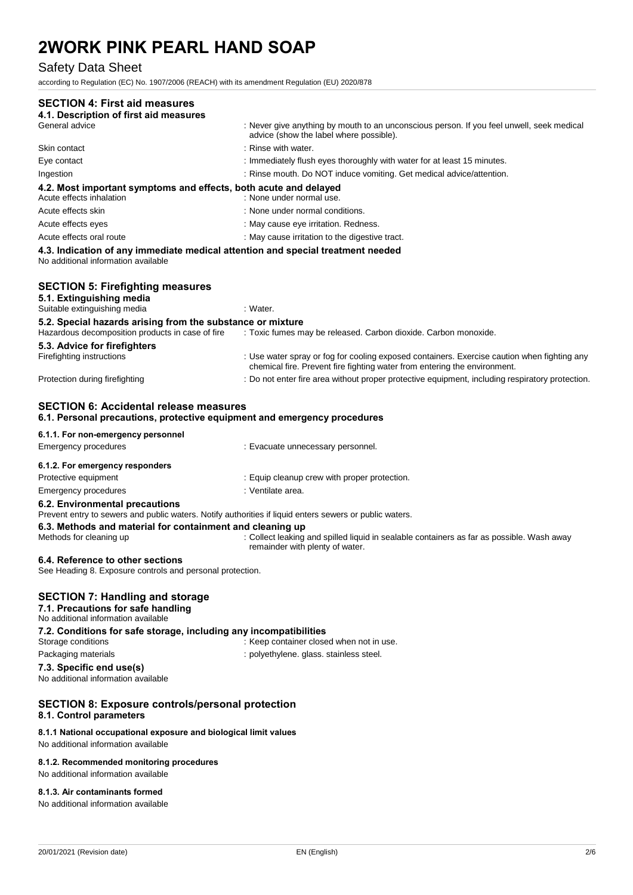### Safety Data Sheet

according to Regulation (EC) No. 1907/2006 (REACH) with its amendment Regulation (EU) 2020/878

| <b>SECTION 4: First aid measures</b><br>4.1. Description of first aid measures                                                                                                                                                    |                                                                                                                                                                          |
|-----------------------------------------------------------------------------------------------------------------------------------------------------------------------------------------------------------------------------------|--------------------------------------------------------------------------------------------------------------------------------------------------------------------------|
| General advice                                                                                                                                                                                                                    | : Never give anything by mouth to an unconscious person. If you feel unwell, seek medical<br>advice (show the label where possible).                                     |
| Skin contact                                                                                                                                                                                                                      | : Rinse with water.                                                                                                                                                      |
| Eye contact                                                                                                                                                                                                                       | : Immediately flush eyes thoroughly with water for at least 15 minutes.                                                                                                  |
| Ingestion                                                                                                                                                                                                                         | : Rinse mouth. Do NOT induce vomiting. Get medical advice/attention.                                                                                                     |
| 4.2. Most important symptoms and effects, both acute and delayed<br>Acute effects inhalation                                                                                                                                      | : None under normal use.                                                                                                                                                 |
| Acute effects skin                                                                                                                                                                                                                | : None under normal conditions.                                                                                                                                          |
| Acute effects eyes                                                                                                                                                                                                                | : May cause eye irritation. Redness.                                                                                                                                     |
| Acute effects oral route                                                                                                                                                                                                          | : May cause irritation to the digestive tract.                                                                                                                           |
| 4.3. Indication of any immediate medical attention and special treatment needed<br>No additional information available                                                                                                            |                                                                                                                                                                          |
| <b>SECTION 5: Firefighting measures</b><br>5.1. Extinguishing media                                                                                                                                                               |                                                                                                                                                                          |
| Suitable extinguishing media                                                                                                                                                                                                      | : Water.                                                                                                                                                                 |
| 5.2. Special hazards arising from the substance or mixture                                                                                                                                                                        |                                                                                                                                                                          |
| Hazardous decomposition products in case of fire                                                                                                                                                                                  | : Toxic fumes may be released. Carbon dioxide. Carbon monoxide.                                                                                                          |
| 5.3. Advice for firefighters                                                                                                                                                                                                      |                                                                                                                                                                          |
| Firefighting instructions                                                                                                                                                                                                         | : Use water spray or fog for cooling exposed containers. Exercise caution when fighting any<br>chemical fire. Prevent fire fighting water from entering the environment. |
| Protection during firefighting                                                                                                                                                                                                    | : Do not enter fire area without proper protective equipment, including respiratory protection.                                                                          |
| 6.1. Personal precautions, protective equipment and emergency procedures<br>6.1.1. For non-emergency personnel<br><b>Emergency procedures</b>                                                                                     | : Evacuate unnecessary personnel.                                                                                                                                        |
|                                                                                                                                                                                                                                   |                                                                                                                                                                          |
| 6.1.2. For emergency responders                                                                                                                                                                                                   |                                                                                                                                                                          |
| Protective equipment                                                                                                                                                                                                              | : Equip cleanup crew with proper protection.                                                                                                                             |
| Emergency procedures                                                                                                                                                                                                              | : Ventilate area.                                                                                                                                                        |
| 6.2. Environmental precautions<br>Prevent entry to sewers and public waters. Notify authorities if liquid enters sewers or public waters.<br>6.3. Methods and material for containment and cleaning up<br>Methods for cleaning up | : Collect leaking and spilled liquid in sealable containers as far as possible. Wash away<br>remainder with plenty of water.                                             |
| 6.4. Reference to other sections<br>See Heading 8. Exposure controls and personal protection.                                                                                                                                     |                                                                                                                                                                          |
| <b>SECTION 7: Handling and storage</b><br>7.1. Precautions for safe handling<br>No additional information available                                                                                                               |                                                                                                                                                                          |
| 7.2. Conditions for safe storage, including any incompatibilities<br>Storage conditions                                                                                                                                           | : Keep container closed when not in use.                                                                                                                                 |
| Packaging materials                                                                                                                                                                                                               | : polyethylene. glass. stainless steel.                                                                                                                                  |
| 7.3. Specific end use(s)<br>No additional information available                                                                                                                                                                   |                                                                                                                                                                          |
| <b>SECTION 8: Exposure controls/personal protection</b><br>8.1. Control parameters                                                                                                                                                |                                                                                                                                                                          |
| 8.1.1 National occupational exposure and biological limit values<br>No additional information available                                                                                                                           |                                                                                                                                                                          |
|                                                                                                                                                                                                                                   |                                                                                                                                                                          |

**8.1.2. Recommended monitoring procedures**  No additional information available

#### **8.1.3. Air contaminants formed**

No additional information available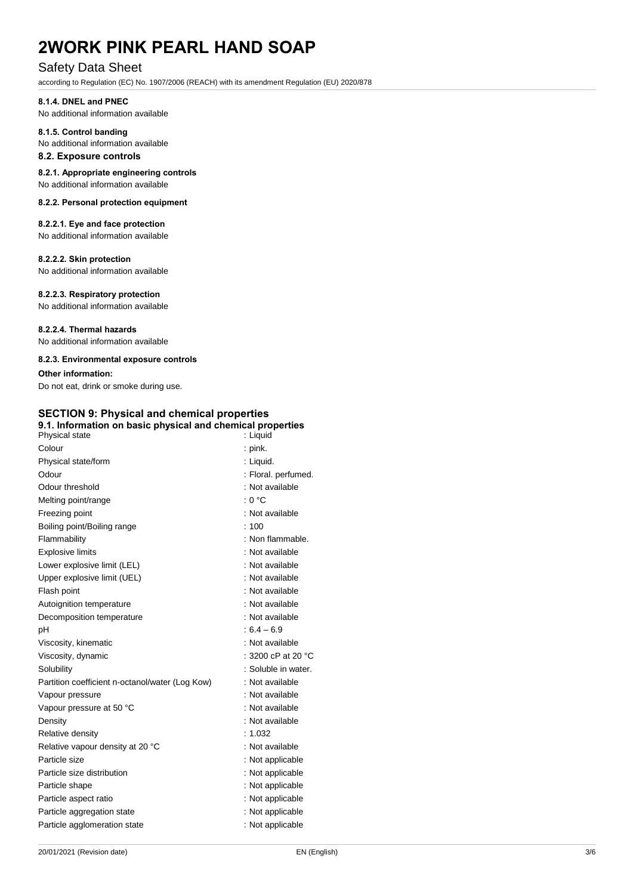#### Safety Data Sheet

according to Regulation (EC) No. 1907/2006 (REACH) with its amendment Regulation (EU) 2020/878

#### **8.1.4. DNEL and PNEC**

No additional information available

#### **8.1.5. Control banding**  No additional information available

**8.2. Exposure controls** 

### **8.2.1. Appropriate engineering controls**

No additional information available

#### **8.2.2. Personal protection equipment**

### **8.2.2.1. Eye and face protection**

No additional information available

#### **8.2.2.2. Skin protection**

No additional information available

#### **8.2.2.3. Respiratory protection**

No additional information available

#### **8.2.2.4. Thermal hazards**

No additional information available

#### **8.2.3. Environmental exposure controls**

#### **Other information:**

Do not eat, drink or smoke during use.

### **SECTION 9: Physical and chemical properties**

| 9.1. Information on basic physical and chemical properties<br>Physical state | : Liquid                     |
|------------------------------------------------------------------------------|------------------------------|
| Colour                                                                       | : pink.                      |
| Physical state/form                                                          | : Liquid.                    |
| Odour                                                                        | : Floral. perfumed.          |
| Odour threshold                                                              | : Not available              |
| Melting point/range                                                          | : 0 °C                       |
| Freezing point                                                               | : Not available              |
| Boiling point/Boiling range                                                  | :100                         |
| Flammability                                                                 | : Non flammable.             |
| <b>Explosive limits</b>                                                      | : Not available              |
| Lower explosive limit (LEL)                                                  | : Not available              |
| Upper explosive limit (UEL)                                                  | : Not available              |
| Flash point                                                                  | : Not available              |
| Autoignition temperature                                                     | : Not available              |
| Decomposition temperature                                                    | : Not available              |
| рH                                                                           | $:6.4 - 6.9$                 |
| Viscosity, kinematic                                                         | : Not available              |
| Viscosity, dynamic                                                           | : 3200 cP at 20 $^{\circ}$ C |
| Solubility                                                                   | : Soluble in water.          |
| Partition coefficient n-octanol/water (Log Kow)                              | : Not available              |
| Vapour pressure                                                              | : Not available              |
| Vapour pressure at 50 °C                                                     | : Not available              |
| Density                                                                      | : Not available              |
| Relative density                                                             | : 1.032                      |
| Relative vapour density at 20 °C                                             | : Not available              |
| Particle size                                                                | : Not applicable             |
| Particle size distribution                                                   | : Not applicable             |
| Particle shape                                                               | : Not applicable             |
| Particle aspect ratio                                                        | : Not applicable             |
| Particle aggregation state                                                   | : Not applicable             |
| Particle agglomeration state                                                 | : Not applicable             |
|                                                                              |                              |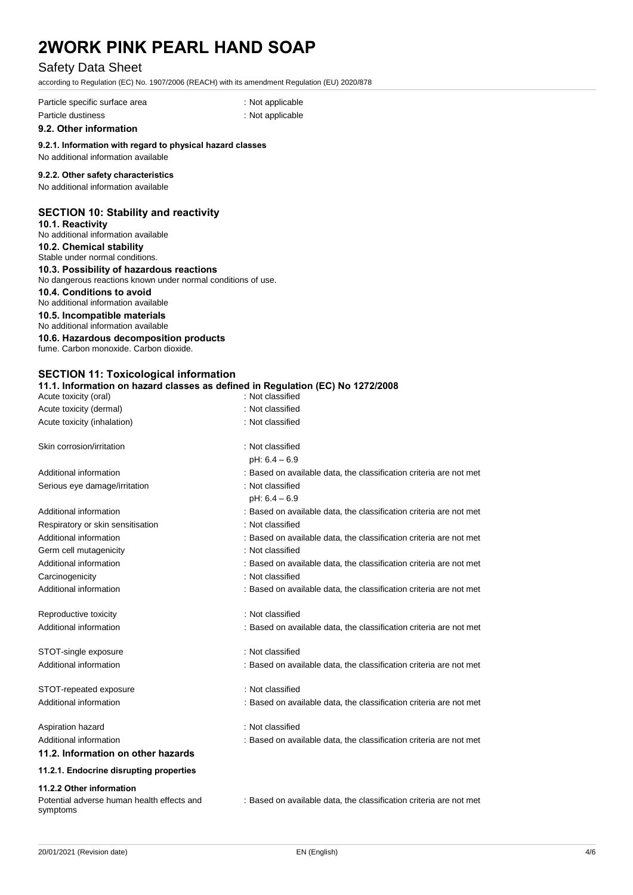#### Safety Data Sheet

according to Regulation (EC) No. 1907/2006 (REACH) with its amendment Regulation (EU) 2020/878

Particle specific surface area : Not applicable : Not applicable Particle dustiness in the contract of the contract of the contract of the contract of the contract of the contract of the contract of the contract of the contract of the contract of the contract of the contract of the cont

**9.2. Other information** 

#### **9.2.1. Information with regard to physical hazard classes**

### No additional information available

#### **9.2.2. Other safety characteristics**

No additional information available

#### **SECTION 10: Stability and reactivity**

**10.1. Reactivity**  No additional information available **10.2. Chemical stability** 

Stable under normal conditions.

### **10.3. Possibility of hazardous reactions**

No dangerous reactions known under normal conditions of use.

#### **10.4. Conditions to avoid**

No additional information available

#### **10.5. Incompatible materials**  No additional information available

**10.6. Hazardous decomposition products** 

fume. Carbon monoxide. Carbon dioxide.

#### **SECTION 11: Toxicological information**

#### **11.1. Information on hazard classes as defined in Regulation (EC) No 1272/2008**

| Acute toxicity (oral)                                                              | : Not classified                                                   |  |  |
|------------------------------------------------------------------------------------|--------------------------------------------------------------------|--|--|
| Acute toxicity (dermal)                                                            | : Not classified                                                   |  |  |
| Acute toxicity (inhalation)                                                        | : Not classified                                                   |  |  |
| Skin corrosion/irritation                                                          | : Not classified                                                   |  |  |
|                                                                                    | $pH: 6.4 - 6.9$                                                    |  |  |
| Additional information                                                             | : Based on available data, the classification criteria are not met |  |  |
| Serious eye damage/irritation                                                      | : Not classified                                                   |  |  |
|                                                                                    | $pH: 6.4 - 6.9$                                                    |  |  |
| Additional information                                                             | : Based on available data, the classification criteria are not met |  |  |
| Respiratory or skin sensitisation                                                  | : Not classified                                                   |  |  |
| Additional information                                                             | : Based on available data, the classification criteria are not met |  |  |
| Germ cell mutagenicity                                                             | : Not classified                                                   |  |  |
| Additional information                                                             | : Based on available data, the classification criteria are not met |  |  |
| Carcinogenicity                                                                    | : Not classified                                                   |  |  |
| Additional information                                                             | : Based on available data, the classification criteria are not met |  |  |
| Reproductive toxicity                                                              | : Not classified                                                   |  |  |
| Additional information                                                             | : Based on available data, the classification criteria are not met |  |  |
| STOT-single exposure                                                               | : Not classified                                                   |  |  |
| Additional information                                                             | : Based on available data, the classification criteria are not met |  |  |
| STOT-repeated exposure                                                             | : Not classified                                                   |  |  |
| Additional information                                                             | : Based on available data, the classification criteria are not met |  |  |
| Aspiration hazard                                                                  | : Not classified                                                   |  |  |
| Additional information                                                             | : Based on available data, the classification criteria are not met |  |  |
| 11.2. Information on other hazards                                                 |                                                                    |  |  |
| 11.2.1. Endocrine disrupting properties                                            |                                                                    |  |  |
| 11.2.2 Other information<br>Potential adverse human health effects and<br>symptoms | : Based on available data, the classification criteria are not met |  |  |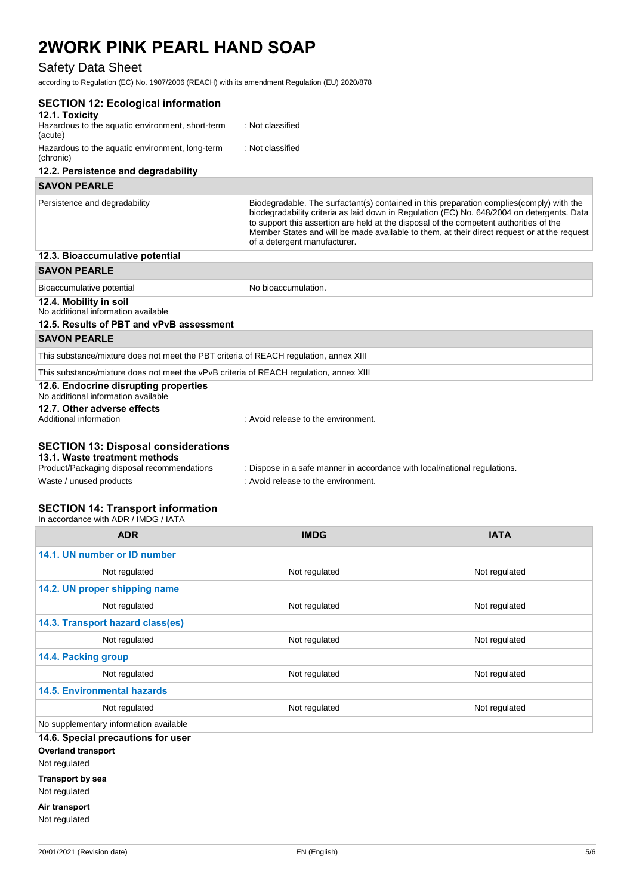### Safety Data Sheet

according to Regulation (EC) No. 1907/2006 (REACH) with its amendment Regulation (EU) 2020/878

| <b>SECTION 12: Ecological information</b>                                                                                                                                                                                                                                                                                                                                                             |                                                                                                                                                                                                                                                                                                                                                                                                                  |  |  |
|-------------------------------------------------------------------------------------------------------------------------------------------------------------------------------------------------------------------------------------------------------------------------------------------------------------------------------------------------------------------------------------------------------|------------------------------------------------------------------------------------------------------------------------------------------------------------------------------------------------------------------------------------------------------------------------------------------------------------------------------------------------------------------------------------------------------------------|--|--|
| 12.1. Toxicity                                                                                                                                                                                                                                                                                                                                                                                        |                                                                                                                                                                                                                                                                                                                                                                                                                  |  |  |
| Hazardous to the aquatic environment, short-term<br>(acute)                                                                                                                                                                                                                                                                                                                                           | : Not classified                                                                                                                                                                                                                                                                                                                                                                                                 |  |  |
| Hazardous to the aquatic environment, long-term<br>(chronic)                                                                                                                                                                                                                                                                                                                                          | : Not classified                                                                                                                                                                                                                                                                                                                                                                                                 |  |  |
| 12.2. Persistence and degradability                                                                                                                                                                                                                                                                                                                                                                   |                                                                                                                                                                                                                                                                                                                                                                                                                  |  |  |
| <b>SAVON PEARLE</b>                                                                                                                                                                                                                                                                                                                                                                                   |                                                                                                                                                                                                                                                                                                                                                                                                                  |  |  |
| Persistence and degradability                                                                                                                                                                                                                                                                                                                                                                         | Biodegradable. The surfactant(s) contained in this preparation complies (comply) with the<br>biodegradability criteria as laid down in Regulation (EC) No. 648/2004 on detergents. Data<br>to support this assertion are held at the disposal of the competent authorities of the<br>Member States and will be made available to them, at their direct request or at the request<br>of a detergent manufacturer. |  |  |
| 12.3. Bioaccumulative potential                                                                                                                                                                                                                                                                                                                                                                       |                                                                                                                                                                                                                                                                                                                                                                                                                  |  |  |
| <b>SAVON PEARLE</b>                                                                                                                                                                                                                                                                                                                                                                                   |                                                                                                                                                                                                                                                                                                                                                                                                                  |  |  |
| Bioaccumulative potential                                                                                                                                                                                                                                                                                                                                                                             | No bioaccumulation.                                                                                                                                                                                                                                                                                                                                                                                              |  |  |
| 12.4. Mobility in soil<br>No additional information available<br>12.5. Results of PBT and vPvB assessment                                                                                                                                                                                                                                                                                             |                                                                                                                                                                                                                                                                                                                                                                                                                  |  |  |
| <b>SAVON PEARLE</b>                                                                                                                                                                                                                                                                                                                                                                                   |                                                                                                                                                                                                                                                                                                                                                                                                                  |  |  |
| This substance/mixture does not meet the PBT criteria of REACH regulation, annex XIII                                                                                                                                                                                                                                                                                                                 |                                                                                                                                                                                                                                                                                                                                                                                                                  |  |  |
| This substance/mixture does not meet the vPvB criteria of REACH regulation, annex XIII                                                                                                                                                                                                                                                                                                                |                                                                                                                                                                                                                                                                                                                                                                                                                  |  |  |
| 12.6. Endocrine disrupting properties<br>No additional information available<br>12.7. Other adverse effects                                                                                                                                                                                                                                                                                           |                                                                                                                                                                                                                                                                                                                                                                                                                  |  |  |
| Additional information                                                                                                                                                                                                                                                                                                                                                                                | : Avoid release to the environment.                                                                                                                                                                                                                                                                                                                                                                              |  |  |
|                                                                                                                                                                                                                                                                                                                                                                                                       |                                                                                                                                                                                                                                                                                                                                                                                                                  |  |  |
| <b>SECTION 13: Disposal considerations</b><br>13.1. Waste treatment methods                                                                                                                                                                                                                                                                                                                           |                                                                                                                                                                                                                                                                                                                                                                                                                  |  |  |
| Product/Packaging disposal recommendations                                                                                                                                                                                                                                                                                                                                                            | : Dispose in a safe manner in accordance with local/national regulations.                                                                                                                                                                                                                                                                                                                                        |  |  |
| Waste / unused products                                                                                                                                                                                                                                                                                                                                                                               | : Avoid release to the environment.                                                                                                                                                                                                                                                                                                                                                                              |  |  |
| $C$ $\Gamma$ $C$ $\Gamma$ $C$ $N$ $I$ , $A$ , $I$ , $T$ $\alpha$ , $\alpha$ , $\alpha$ , $\alpha$ , $\alpha$ , $I$ , $\alpha$ , $\alpha$ , $\alpha$ , $\alpha$ , $\alpha$ , $\alpha$ , $\alpha$ , $\alpha$ , $\alpha$ , $\alpha$ , $\alpha$ , $\alpha$ , $\alpha$ , $\alpha$ , $\alpha$ , $\alpha$ , $\alpha$ , $\alpha$ , $\alpha$ , $\alpha$ , $\alpha$ , $\alpha$ , $\alpha$ , $\alpha$ , $\alpha$ |                                                                                                                                                                                                                                                                                                                                                                                                                  |  |  |

#### **SECTION 14: Transport information**

| In accordance with ADR / IMDG / IATA   |               |               |  |  |  |
|----------------------------------------|---------------|---------------|--|--|--|
| <b>ADR</b>                             | <b>IMDG</b>   | <b>IATA</b>   |  |  |  |
| 14.1. UN number or ID number           |               |               |  |  |  |
| Not regulated                          | Not regulated | Not regulated |  |  |  |
| 14.2. UN proper shipping name          |               |               |  |  |  |
| Not regulated                          | Not regulated | Not regulated |  |  |  |
| 14.3. Transport hazard class(es)       |               |               |  |  |  |
| Not regulated                          | Not regulated | Not regulated |  |  |  |
| 14.4. Packing group                    |               |               |  |  |  |
| Not regulated                          | Not regulated | Not regulated |  |  |  |
| <b>14.5. Environmental hazards</b>     |               |               |  |  |  |
| Not regulated                          | Not regulated | Not regulated |  |  |  |
| No supplementary information available |               |               |  |  |  |
| 14.6. Special precautions for user     |               |               |  |  |  |
| <b>Overland transport</b>              |               |               |  |  |  |
| Not regulated                          |               |               |  |  |  |
| <b>Transport by sea</b>                |               |               |  |  |  |
|                                        |               |               |  |  |  |

Not regulated

**Air transport** Not regulated